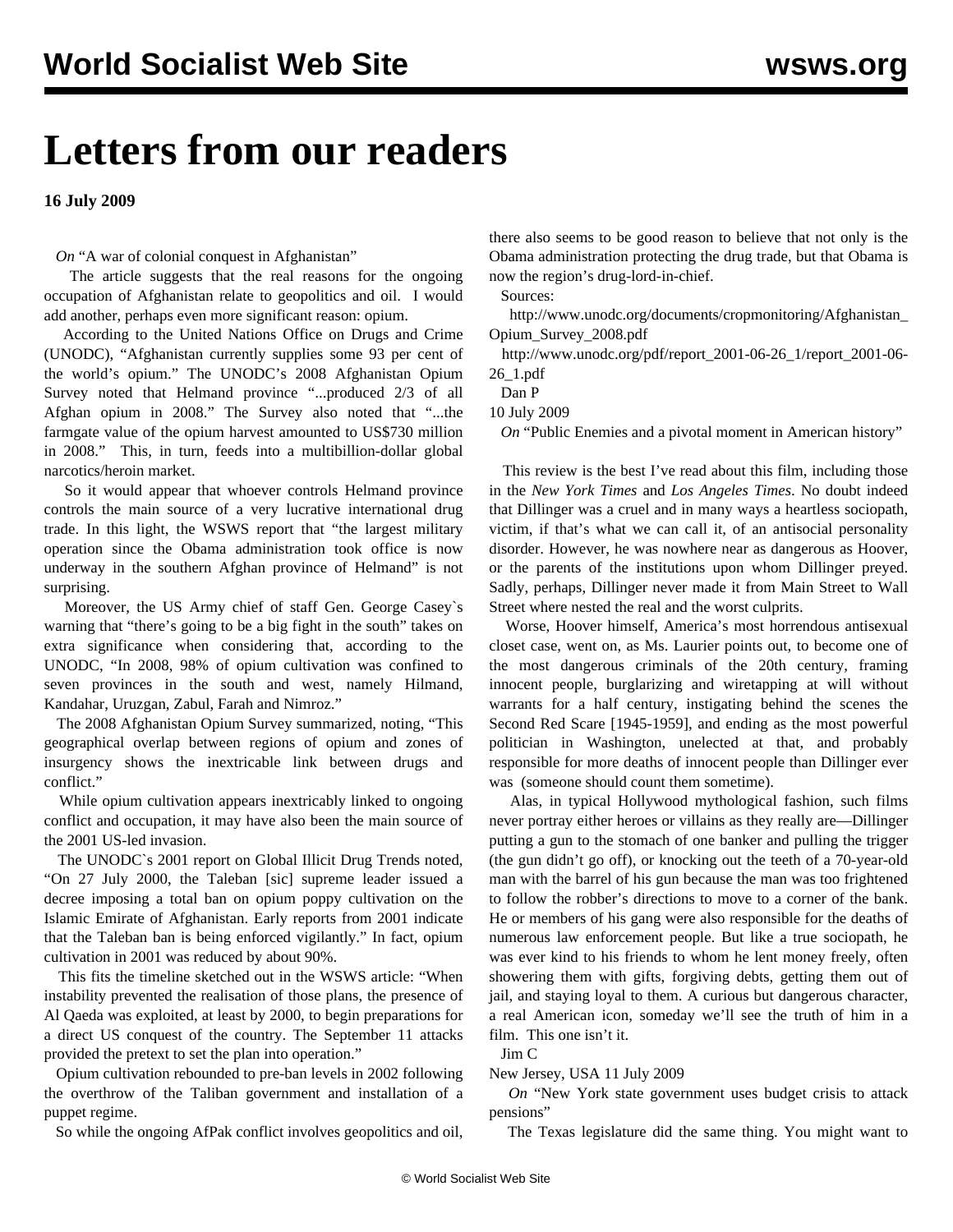## **Letters from our readers**

**16 July 2009**

*On* ["A war of colonial conquest in Afghanistan"](/en/articles/2009/jul2009/pers-j10.shtml)

 The article suggests that the real reasons for the ongoing occupation of Afghanistan relate to geopolitics and oil. I would add another, perhaps even more significant reason: opium.

 According to the United Nations Office on Drugs and Crime (UNODC), "Afghanistan currently supplies some 93 per cent of the world's opium." The UNODC's 2008 Afghanistan Opium Survey noted that Helmand province "...produced 2/3 of all Afghan opium in 2008." The Survey also noted that "...the farmgate value of the opium harvest amounted to US\$730 million in 2008." This, in turn, feeds into a multibillion-dollar global narcotics/heroin market.

 So it would appear that whoever controls Helmand province controls the main source of a very lucrative international drug trade. In this light, the WSWS report that "the largest military operation since the Obama administration took office is now underway in the southern Afghan province of Helmand" is not surprising.

 Moreover, the US Army chief of staff Gen. George Casey`s warning that "there's going to be a big fight in the south" takes on extra significance when considering that, according to the UNODC, "In 2008, 98% of opium cultivation was confined to seven provinces in the south and west, namely Hilmand, Kandahar, Uruzgan, Zabul, Farah and Nimroz."

 The 2008 Afghanistan Opium Survey summarized, noting, "This geographical overlap between regions of opium and zones of insurgency shows the inextricable link between drugs and conflict."

 While opium cultivation appears inextricably linked to ongoing conflict and occupation, it may have also been the main source of the 2001 US-led invasion.

 The UNODC`s 2001 report on Global Illicit Drug Trends noted, "On 27 July 2000, the Taleban [sic] supreme leader issued a decree imposing a total ban on opium poppy cultivation on the Islamic Emirate of Afghanistan. Early reports from 2001 indicate that the Taleban ban is being enforced vigilantly." In fact, opium cultivation in 2001 was reduced by about 90%.

 This fits the timeline sketched out in the WSWS article: "When instability prevented the realisation of those plans, the presence of Al Qaeda was exploited, at least by 2000, to begin preparations for a direct US conquest of the country. The September 11 attacks provided the pretext to set the plan into operation."

 Opium cultivation rebounded to pre-ban levels in 2002 following the overthrow of the Taliban government and installation of a puppet regime.

So while the ongoing AfPak conflict involves geopolitics and oil,

there also seems to be good reason to believe that not only is the Obama administration protecting the drug trade, but that Obama is now the region's drug-lord-in-chief.

Sources:

 http://www.unodc.org/documents/cropmonitoring/Afghanistan\_ Opium\_Survey\_2008.pdf

 http://www.unodc.org/pdf/report\_2001-06-26\_1/report\_2001-06- 26\_1.pdf

Dan P

10 July 2009

*On* ["Public Enemies and a pivotal moment in American history"](/en/articles/2009/jul2009/enem-j11.shtml)

 This review is the best I've read about this film, including those in the *New York Times* and *Los Angeles Times*. No doubt indeed that Dillinger was a cruel and in many ways a heartless sociopath, victim, if that's what we can call it, of an antisocial personality disorder. However, he was nowhere near as dangerous as Hoover, or the parents of the institutions upon whom Dillinger preyed. Sadly, perhaps, Dillinger never made it from Main Street to Wall Street where nested the real and the worst culprits.

 Worse, Hoover himself, America's most horrendous antisexual closet case, went on, as Ms. Laurier points out, to become one of the most dangerous criminals of the 20th century, framing innocent people, burglarizing and wiretapping at will without warrants for a half century, instigating behind the scenes the Second Red Scare [1945-1959], and ending as the most powerful politician in Washington, unelected at that, and probably responsible for more deaths of innocent people than Dillinger ever was (someone should count them sometime).

 Alas, in typical Hollywood mythological fashion, such films never portray either heroes or villains as they really are—Dillinger putting a gun to the stomach of one banker and pulling the trigger (the gun didn't go off), or knocking out the teeth of a 70-year-old man with the barrel of his gun because the man was too frightened to follow the robber's directions to move to a corner of the bank. He or members of his gang were also responsible for the deaths of numerous law enforcement people. But like a true sociopath, he was ever kind to his friends to whom he lent money freely, often showering them with gifts, forgiving debts, getting them out of jail, and staying loyal to them. A curious but dangerous character, a real American icon, someday we'll see the truth of him in a film. This one isn't it.

Jim C

New Jersey, USA 11 July 2009

 *On* ["New York state government uses budget crisis to attack](/en/articles/2009/jul2009/nybu-j13.shtml) [pensions"](/en/articles/2009/jul2009/nybu-j13.shtml)

The Texas legislature did the same thing. You might want to